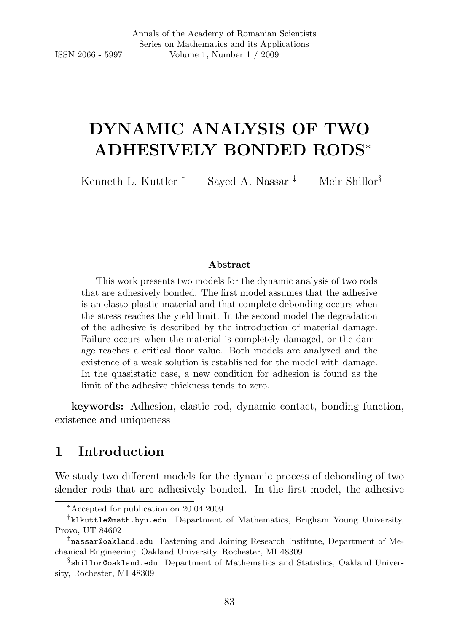# DYNAMIC ANALYSIS OF TWO ADHESIVELY BONDED RODS<sup>∗</sup>

Kenneth L. Kuttler <sup>†</sup> Saved A. Nassar <sup>‡</sup> Meir Shillor<sup>§</sup>

#### Abstract

This work presents two models for the dynamic analysis of two rods that are adhesively bonded. The first model assumes that the adhesive is an elasto-plastic material and that complete debonding occurs when the stress reaches the yield limit. In the second model the degradation of the adhesive is described by the introduction of material damage. Failure occurs when the material is completely damaged, or the damage reaches a critical floor value. Both models are analyzed and the existence of a weak solution is established for the model with damage. In the quasistatic case, a new condition for adhesion is found as the limit of the adhesive thickness tends to zero.

keywords: Adhesion, elastic rod, dynamic contact, bonding function, existence and uniqueness

# 1 Introduction

We study two different models for the dynamic process of debonding of two slender rods that are adhesively bonded. In the first model, the adhesive

<sup>∗</sup>Accepted for publication on 20.04.2009

<sup>†</sup> klkuttle@math.byu.edu Department of Mathematics, Brigham Young University, Provo, UT 84602

<sup>‡</sup> nassar@oakland.edu Fastening and Joining Research Institute, Department of Mechanical Engineering, Oakland University, Rochester, MI 48309

<sup>§</sup> shillor@oakland.edu Department of Mathematics and Statistics, Oakland University, Rochester, MI 48309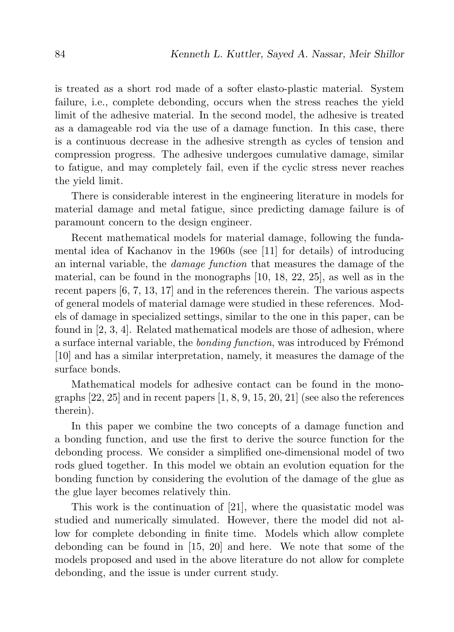is treated as a short rod made of a softer elasto-plastic material. System failure, i.e., complete debonding, occurs when the stress reaches the yield limit of the adhesive material. In the second model, the adhesive is treated as a damageable rod via the use of a damage function. In this case, there is a continuous decrease in the adhesive strength as cycles of tension and compression progress. The adhesive undergoes cumulative damage, similar to fatigue, and may completely fail, even if the cyclic stress never reaches the yield limit.

There is considerable interest in the engineering literature in models for material damage and metal fatigue, since predicting damage failure is of paramount concern to the design engineer.

Recent mathematical models for material damage, following the fundamental idea of Kachanov in the 1960s (see [11] for details) of introducing an internal variable, the damage function that measures the damage of the material, can be found in the monographs [10, 18, 22, 25], as well as in the recent papers [6, 7, 13, 17] and in the references therein. The various aspects of general models of material damage were studied in these references. Models of damage in specialized settings, similar to the one in this paper, can be found in [2, 3, 4]. Related mathematical models are those of adhesion, where a surface internal variable, the *bonding function*, was introduced by Frémond [10] and has a similar interpretation, namely, it measures the damage of the surface bonds.

Mathematical models for adhesive contact can be found in the monographs  $[22, 25]$  and in recent papers  $[1, 8, 9, 15, 20, 21]$  (see also the references therein).

In this paper we combine the two concepts of a damage function and a bonding function, and use the first to derive the source function for the debonding process. We consider a simplified one-dimensional model of two rods glued together. In this model we obtain an evolution equation for the bonding function by considering the evolution of the damage of the glue as the glue layer becomes relatively thin.

This work is the continuation of [21], where the quasistatic model was studied and numerically simulated. However, there the model did not allow for complete debonding in finite time. Models which allow complete debonding can be found in [15, 20] and here. We note that some of the models proposed and used in the above literature do not allow for complete debonding, and the issue is under current study.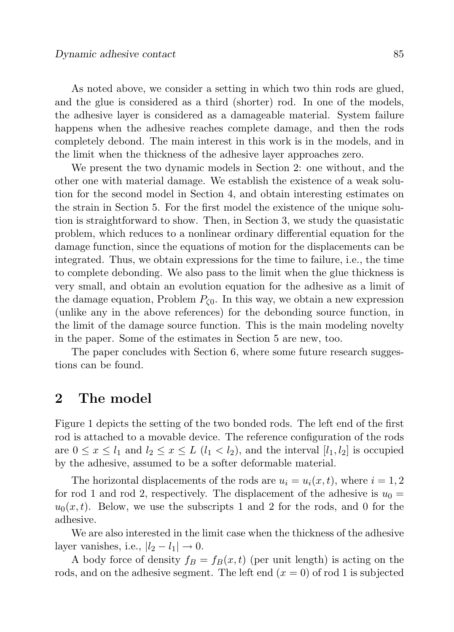As noted above, we consider a setting in which two thin rods are glued, and the glue is considered as a third (shorter) rod. In one of the models, the adhesive layer is considered as a damageable material. System failure happens when the adhesive reaches complete damage, and then the rods completely debond. The main interest in this work is in the models, and in the limit when the thickness of the adhesive layer approaches zero.

We present the two dynamic models in Section 2: one without, and the other one with material damage. We establish the existence of a weak solution for the second model in Section 4, and obtain interesting estimates on the strain in Section 5. For the first model the existence of the unique solution is straightforward to show. Then, in Section 3, we study the quasistatic problem, which reduces to a nonlinear ordinary differential equation for the damage function, since the equations of motion for the displacements can be integrated. Thus, we obtain expressions for the time to failure, i.e., the time to complete debonding. We also pass to the limit when the glue thickness is very small, and obtain an evolution equation for the adhesive as a limit of the damage equation, Problem  $P_{\zeta 0}$ . In this way, we obtain a new expression (unlike any in the above references) for the debonding source function, in the limit of the damage source function. This is the main modeling novelty in the paper. Some of the estimates in Section 5 are new, too.

The paper concludes with Section 6, where some future research suggestions can be found.

# 2 The model

Figure 1 depicts the setting of the two bonded rods. The left end of the first rod is attached to a movable device. The reference configuration of the rods are  $0 \leq x \leq l_1$  and  $l_2 \leq x \leq L$   $(l_1 < l_2)$ , and the interval  $[l_1, l_2]$  is occupied by the adhesive, assumed to be a softer deformable material.

The horizontal displacements of the rods are  $u_i = u_i(x, t)$ , where  $i = 1, 2$ for rod 1 and rod 2, respectively. The displacement of the adhesive is  $u_0 =$  $u_0(x, t)$ . Below, we use the subscripts 1 and 2 for the rods, and 0 for the adhesive.

We are also interested in the limit case when the thickness of the adhesive layer vanishes, i.e.,  $|l_2 - l_1| \rightarrow 0$ .

A body force of density  $f_B = f_B(x, t)$  (per unit length) is acting on the rods, and on the adhesive segment. The left end  $(x = 0)$  of rod 1 is subjected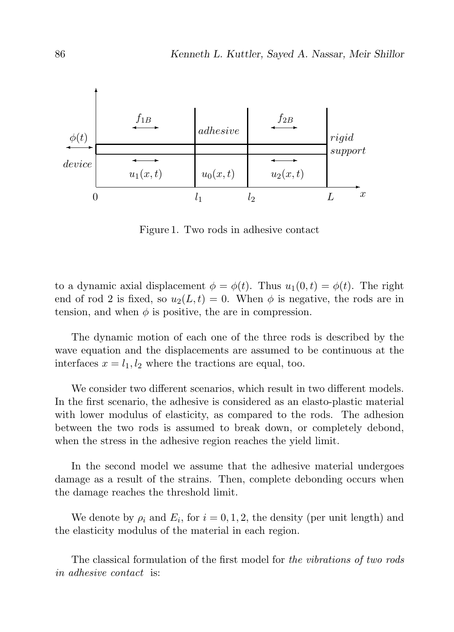

Figure 1. Two rods in adhesive contact

to a dynamic axial displacement  $\phi = \phi(t)$ . Thus  $u_1(0, t) = \phi(t)$ . The right end of rod 2 is fixed, so  $u_2(L, t) = 0$ . When  $\phi$  is negative, the rods are in tension, and when  $\phi$  is positive, the are in compression.

The dynamic motion of each one of the three rods is described by the wave equation and the displacements are assumed to be continuous at the interfaces  $x = l_1, l_2$  where the tractions are equal, too.

We consider two different scenarios, which result in two different models. In the first scenario, the adhesive is considered as an elasto-plastic material with lower modulus of elasticity, as compared to the rods. The adhesion between the two rods is assumed to break down, or completely debond, when the stress in the adhesive region reaches the yield limit.

In the second model we assume that the adhesive material undergoes damage as a result of the strains. Then, complete debonding occurs when the damage reaches the threshold limit.

We denote by  $\rho_i$  and  $E_i$ , for  $i = 0, 1, 2$ , the density (per unit length) and the elasticity modulus of the material in each region.

The classical formulation of the first model for the vibrations of two rods in adhesive contact is: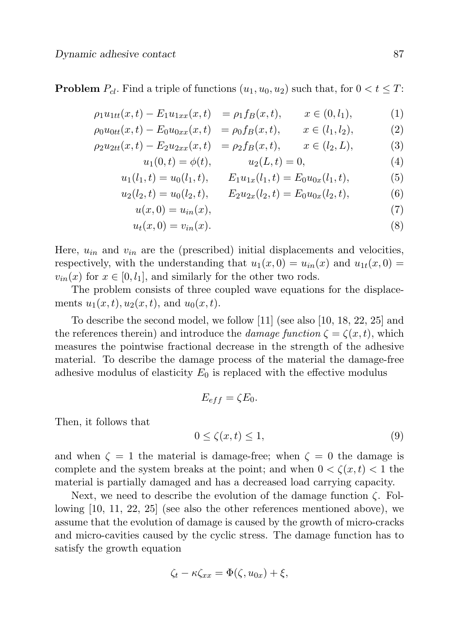**Problem**  $P_{cl}$ . Find a triple of functions  $(u_1, u_0, u_2)$  such that, for  $0 < t \leq T$ :

$$
\rho_1 u_{1tt}(x,t) - E_1 u_{1xx}(x,t) = \rho_1 f_B(x,t), \qquad x \in (0, l_1), \tag{1}
$$

$$
\rho_0 u_{0tt}(x,t) - E_0 u_{0xx}(x,t) = \rho_0 f_B(x,t), \qquad x \in (l_1, l_2), \tag{2}
$$

$$
\rho_2 u_{2tt}(x,t) - E_2 u_{2xx}(x,t) = \rho_2 f_B(x,t), \qquad x \in (l_2, L), \tag{3}
$$

$$
u_1(0,t) = \phi(t), \qquad u_2(L,t) = 0,
$$
\n(4)

$$
u_1(l_1, t) = u_0(l_1, t), \qquad E_1 u_{1x}(l_1, t) = E_0 u_{0x}(l_1, t), \tag{5}
$$

$$
u_2(l_2, t) = u_0(l_2, t), \qquad E_2 u_{2x}(l_2, t) = E_0 u_{0x}(l_2, t), \tag{6}
$$

$$
u(x,0) = u_{in}(x),\tag{7}
$$

$$
u_t(x,0) = v_{in}(x). \tag{8}
$$

Here,  $u_{in}$  and  $v_{in}$  are the (prescribed) initial displacements and velocities, respectively, with the understanding that  $u_1(x, 0) = u_{in}(x)$  and  $u_{1t}(x, 0) =$  $v_{in}(x)$  for  $x \in [0, l_1]$ , and similarly for the other two rods.

The problem consists of three coupled wave equations for the displacements  $u_1(x, t), u_2(x, t)$ , and  $u_0(x, t)$ .

To describe the second model, we follow [11] (see also [10, 18, 22, 25] and the references therein) and introduce the *damage function*  $\zeta = \zeta(x, t)$ , which measures the pointwise fractional decrease in the strength of the adhesive material. To describe the damage process of the material the damage-free adhesive modulus of elasticity  $E_0$  is replaced with the effective modulus

$$
E_{eff} = \zeta E_0.
$$

Then, it follows that

$$
0 \le \zeta(x, t) \le 1,\tag{9}
$$

and when  $\zeta = 1$  the material is damage-free; when  $\zeta = 0$  the damage is complete and the system breaks at the point; and when  $0 < \zeta(x,t) < 1$  the material is partially damaged and has a decreased load carrying capacity.

Next, we need to describe the evolution of the damage function  $\zeta$ . Following [10, 11, 22, 25] (see also the other references mentioned above), we assume that the evolution of damage is caused by the growth of micro-cracks and micro-cavities caused by the cyclic stress. The damage function has to satisfy the growth equation

$$
\zeta_t - \kappa \zeta_{xx} = \Phi(\zeta, u_{0x}) + \xi,
$$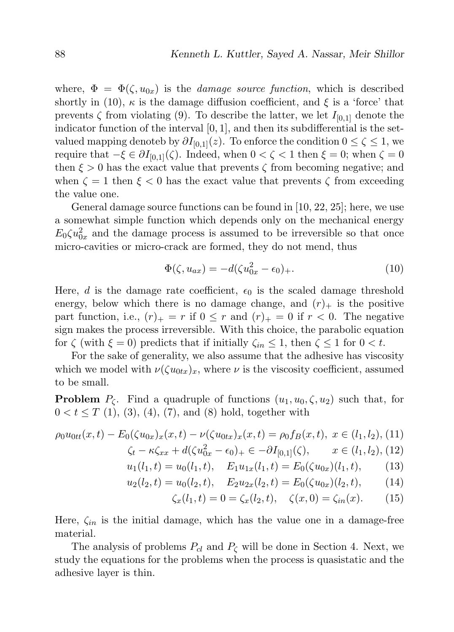where,  $\Phi = \Phi(\zeta, u_{0x})$  is the *damage source function*, which is described shortly in (10),  $\kappa$  is the damage diffusion coefficient, and  $\xi$  is a 'force' that prevents  $\zeta$  from violating (9). To describe the latter, we let  $I_{[0,1]}$  denote the indicator function of the interval  $[0, 1]$ , and then its subdifferential is the setvalued mapping denoteb by  $\partial I_{[0,1]}(z)$ . To enforce the condition  $0 \le \zeta \le 1$ , we require that  $-\xi \in \partial I_{[0,1]}(\zeta)$ . Indeed, when  $0 < \zeta < 1$  then  $\xi = 0$ ; when  $\zeta = 0$ then  $\xi > 0$  has the exact value that prevents  $\zeta$  from becoming negative; and when  $\zeta = 1$  then  $\xi < 0$  has the exact value that prevents  $\zeta$  from exceeding the value one.

General damage source functions can be found in [10, 22, 25]; here, we use a somewhat simple function which depends only on the mechanical energy  $E_0 \zeta u_{0x}^2$  and the damage process is assumed to be irreversible so that once micro-cavities or micro-crack are formed, they do not mend, thus

$$
\Phi(\zeta, u_{ax}) = -d(\zeta u_{0x}^2 - \epsilon_0)_+.
$$
\n(10)

Here, d is the damage rate coefficient,  $\epsilon_0$  is the scaled damage threshold energy, below which there is no damage change, and  $(r)$  is the positive part function, i.e.,  $(r)_{+} = r$  if  $0 \leq r$  and  $(r)_{+} = 0$  if  $r < 0$ . The negative sign makes the process irreversible. With this choice, the parabolic equation for  $\zeta$  (with  $\xi = 0$ ) predicts that if initially  $\zeta_{in} \leq 1$ , then  $\zeta \leq 1$  for  $0 < t$ .

For the sake of generality, we also assume that the adhesive has viscosity which we model with  $\nu(\zeta u_{0tx})_x$ , where  $\nu$  is the viscosity coefficient, assumed to be small.

**Problem**  $P_{\zeta}$ . Find a quadruple of functions  $(u_1, u_0, \zeta, u_2)$  such that, for  $0 < t \leq T(1)$ , (3), (4), (7), and (8) hold, together with

$$
\rho_0 u_{0tt}(x,t) - E_0(\zeta u_{0x})_x(x,t) - \nu(\zeta u_{0tx})_x(x,t) = \rho_0 f_B(x,t), \ x \in (l_1, l_2), \ (11)
$$

$$
\zeta_t - \kappa \zeta_{xx} + d(\zeta u_{0x}^2 - \epsilon_0)_+ \in -\partial I_{[0,1]}(\zeta), \qquad x \in (l_1, l_2), \quad (12)
$$

$$
u_1(l_1, t) = u_0(l_1, t), \quad E_1 u_{1x}(l_1, t) = E_0(\zeta u_{0x})(l_1, t), \quad (13)
$$

$$
u_2(l_2, t) = u_0(l_2, t), \quad E_2 u_{2x}(l_2, t) = E_0(\zeta u_{0x})(l_2, t), \quad (14)
$$

$$
\zeta_x(l_1, t) = 0 = \zeta_x(l_2, t), \quad \zeta(x, 0) = \zeta_{in}(x). \tag{15}
$$

Here,  $\zeta_{in}$  is the initial damage, which has the value one in a damage-free material.

The analysis of problems  $P_{cl}$  and  $P_{\zeta}$  will be done in Section 4. Next, we study the equations for the problems when the process is quasistatic and the adhesive layer is thin.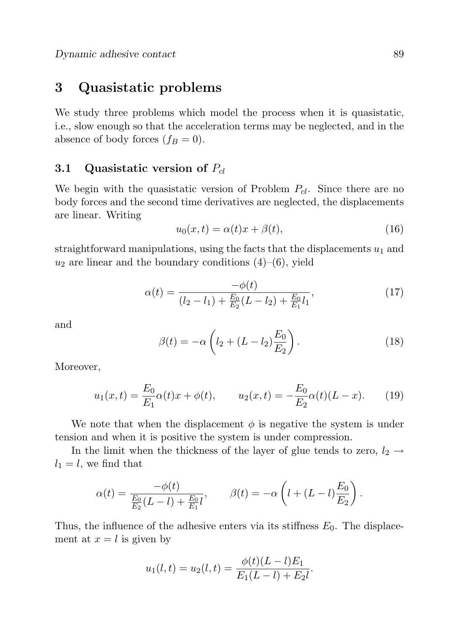# 3 Quasistatic problems

We study three problems which model the process when it is quasistatic, i.e., slow enough so that the acceleration terms may be neglected, and in the absence of body forces  $(f_B = 0)$ .

### 3.1 Quasistatic version of  $P_{cl}$

We begin with the quasistatic version of Problem  $P_{cl}$ . Since there are no body forces and the second time derivatives are neglected, the displacements are linear. Writing

$$
u_0(x,t) = \alpha(t)x + \beta(t),\tag{16}
$$

straightforward manipulations, using the facts that the displacements  $u_1$  and  $u_2$  are linear and the boundary conditions  $(4)$ – $(6)$ , yield

$$
\alpha(t) = \frac{-\phi(t)}{(l_2 - l_1) + \frac{E_0}{E_2}(L - l_2) + \frac{E_0}{E_1}l_1},\tag{17}
$$

and

$$
\beta(t) = -\alpha \left( l_2 + (L - l_2) \frac{E_0}{E_2} \right).
$$
\n(18)

Moreover,

$$
u_1(x,t) = \frac{E_0}{E_1} \alpha(t)x + \phi(t), \qquad u_2(x,t) = -\frac{E_0}{E_2} \alpha(t)(L-x). \tag{19}
$$

We note that when the displacement  $\phi$  is negative the system is under tension and when it is positive the system is under compression.

In the limit when the thickness of the layer of glue tends to zero,  $l_2 \rightarrow$  $l_1 = l$ , we find that

$$
\alpha(t) = \frac{-\phi(t)}{\frac{E_0}{E_2}(L-l) + \frac{E_0}{E_1}l}, \qquad \beta(t) = -\alpha\left(l + (L-l)\frac{E_0}{E_2}\right).
$$

Thus, the influence of the adhesive enters via its stiffness  $E_0$ . The displacement at  $x = l$  is given by

$$
u_1(l,t) = u_2(l,t) = \frac{\phi(t)(L-l)E_1}{E_1(L-l) + E_2l}.
$$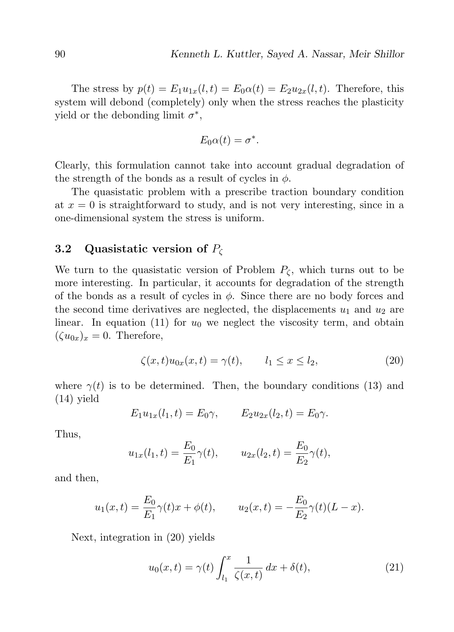The stress by  $p(t) = E_1u_{1x}(l,t) = E_0\alpha(t) = E_2u_{2x}(l,t)$ . Therefore, this system will debond (completely) only when the stress reaches the plasticity yield or the debonding limit  $\sigma^*$ ,

$$
E_0\alpha(t)=\sigma^*.
$$

Clearly, this formulation cannot take into account gradual degradation of the strength of the bonds as a result of cycles in  $\phi$ .

The quasistatic problem with a prescribe traction boundary condition at  $x = 0$  is straightforward to study, and is not very interesting, since in a one-dimensional system the stress is uniform.

#### 3.2 Quasistatic version of  $P_{\zeta}$

We turn to the quasistatic version of Problem  $P_{\zeta}$ , which turns out to be more interesting. In particular, it accounts for degradation of the strength of the bonds as a result of cycles in  $\phi$ . Since there are no body forces and the second time derivatives are neglected, the displacements  $u_1$  and  $u_2$  are linear. In equation (11) for  $u_0$  we neglect the viscosity term, and obtain  $(\zeta u_{0x})_x = 0$ . Therefore,

$$
\zeta(x,t)u_{0x}(x,t) = \gamma(t), \qquad l_1 \le x \le l_2,\tag{20}
$$

where  $\gamma(t)$  is to be determined. Then, the boundary conditions (13) and (14) yield

$$
E_1 u_{1x}(l_1, t) = E_0 \gamma, \qquad E_2 u_{2x}(l_2, t) = E_0 \gamma.
$$

Thus,

$$
u_{1x}(l_1, t) = \frac{E_0}{E_1} \gamma(t), \qquad u_{2x}(l_2, t) = \frac{E_0}{E_2} \gamma(t),
$$

and then,

$$
u_1(x,t) = \frac{E_0}{E_1} \gamma(t)x + \phi(t),
$$
  $u_2(x,t) = -\frac{E_0}{E_2} \gamma(t)(L-x).$ 

Next, integration in (20) yields

$$
u_0(x,t) = \gamma(t) \int_{l_1}^x \frac{1}{\zeta(x,t)} dx + \delta(t), \qquad (21)
$$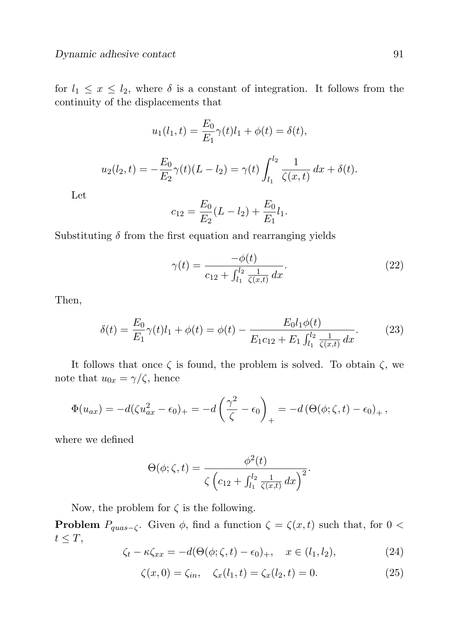for  $l_1 \leq x \leq l_2$ , where  $\delta$  is a constant of integration. It follows from the continuity of the displacements that

$$
u_1(l_1, t) = \frac{E_0}{E_1} \gamma(t) l_1 + \phi(t) = \delta(t),
$$

$$
u_2(l_2, t) = -\frac{E_0}{E_2} \gamma(t) (L - l_2) = \gamma(t) \int_{l_1}^{l_2} \frac{1}{\zeta(x, t)} dx + \delta(t).
$$

Let

$$
c_{12} = \frac{E_0}{E_2}(L - l_2) + \frac{E_0}{E_1}l_1.
$$

Substituting  $\delta$  from the first equation and rearranging yields

$$
\gamma(t) = \frac{-\phi(t)}{c_{12} + \int_{l_1}^{l_2} \frac{1}{\zeta(x,t)} dx}.
$$
\n(22)

Then,

$$
\delta(t) = \frac{E_0}{E_1} \gamma(t) l_1 + \phi(t) = \phi(t) - \frac{E_0 l_1 \phi(t)}{E_1 c_{12} + E_1 \int_{l_1}^{l_2} \frac{1}{\zeta(x, t)} dx}.
$$
 (23)

It follows that once  $\zeta$  is found, the problem is solved. To obtain  $\zeta$ , we note that  $u_{0x} = \gamma/\zeta$ , hence

$$
\Phi(u_{ax}) = -d(\zeta u_{ax}^2 - \epsilon_0)_+ = -d\left(\frac{\gamma^2}{\zeta} - \epsilon_0\right)_+ = -d\left(\Theta(\phi;\zeta,t) - \epsilon_0\right)_+,
$$

where we defined

$$
\Theta(\phi;\zeta,t) = \frac{\phi^2(t)}{\zeta \left(c_{12} + \int_{l_1}^{l_2} \frac{1}{\zeta(x,t)} dx\right)^2}.
$$

Now, the problem for  $\zeta$  is the following.

**Problem**  $P_{quas-\zeta}$ . Given  $\phi$ , find a function  $\zeta = \zeta(x,t)$  such that, for 0 <  $t \leq T$ ,

$$
\zeta_t - \kappa \zeta_{xx} = -d(\Theta(\phi; \zeta, t) - \epsilon_0)_+, \quad x \in (l_1, l_2), \tag{24}
$$

$$
\zeta(x,0) = \zeta_{in}, \quad \zeta_x(l_1,t) = \zeta_x(l_2,t) = 0. \tag{25}
$$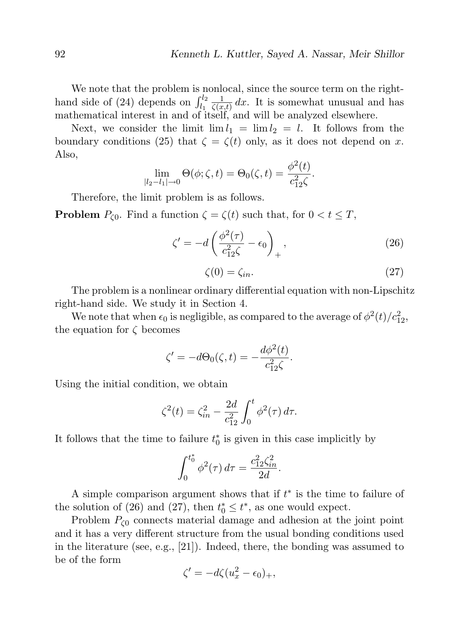We note that the problem is nonlocal, since the source term on the righthand side of (24) depends on  $\int_{l_1}^{l_2}$ 1  $\frac{1}{\zeta(x,t)} dx$ . It is somewhat unusual and has mathematical interest in and of itself, and will be analyzed elsewhere.

Next, we consider the limit  $\lim l_1 = \lim l_2 = l$ . It follows from the boundary conditions (25) that  $\zeta = \zeta(t)$  only, as it does not depend on x. Also,

$$
\lim_{|l_2 - l_1| \to 0} \Theta(\phi; \zeta, t) = \Theta_0(\zeta, t) = \frac{\phi^2(t)}{c_{12}^2 \zeta}.
$$

Therefore, the limit problem is as follows.

**Problem**  $P_{\zeta 0}$ . Find a function  $\zeta = \zeta(t)$  such that, for  $0 < t \leq T$ ,

$$
\zeta' = -d \left( \frac{\phi^2(\tau)}{c_{12}^2 \zeta} - \epsilon_0 \right)_+, \qquad (26)
$$

$$
\zeta(0) = \zeta_{in}.\tag{27}
$$

The problem is a nonlinear ordinary differential equation with non-Lipschitz right-hand side. We study it in Section 4.

We note that when  $\epsilon_0$  is negligible, as compared to the average of  $\phi^2(t)/c_{12}^2$ , the equation for  $\zeta$  becomes

$$
\zeta' = -d\Theta_0(\zeta, t) = -\frac{d\phi^2(t)}{c_{12}^2 \zeta}.
$$

Using the initial condition, we obtain

$$
\zeta^{2}(t) = \zeta_{in}^{2} - \frac{2d}{c_{12}^{2}} \int_{0}^{t} \phi^{2}(\tau) d\tau.
$$

It follows that the time to failure  $t_0^*$  is given in this case implicitly by

$$
\int_0^{t_0^*} \phi^2(\tau) d\tau = \frac{c_{12}^2 \zeta_{in}^2}{2d}.
$$

A simple comparison argument shows that if  $t^*$  is the time to failure of the solution of (26) and (27), then  $t_0^* \leq t^*$ , as one would expect.

Problem  $P_{\zeta 0}$  connects material damage and adhesion at the joint point and it has a very different structure from the usual bonding conditions used in the literature (see, e.g., [21]). Indeed, there, the bonding was assumed to be of the form

$$
\zeta' = -d\zeta (u_x^2 - \epsilon_0)_+,
$$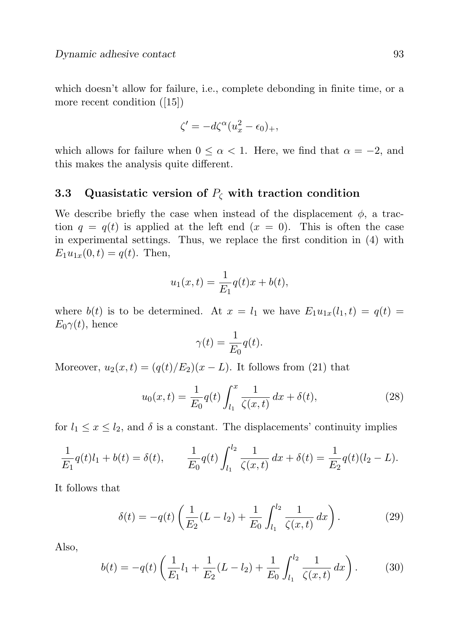which doesn't allow for failure, i.e., complete debonding in finite time, or a more recent condition ([15])

$$
\zeta' = -d\zeta^{\alpha}(u_x^2 - \epsilon_0)_+,
$$

which allows for failure when  $0 \leq \alpha < 1$ . Here, we find that  $\alpha = -2$ , and this makes the analysis quite different.

## 3.3 Quasistatic version of  $P_{\zeta}$  with traction condition

We describe briefly the case when instead of the displacement  $\phi$ , a traction  $q = q(t)$  is applied at the left end  $(x = 0)$ . This is often the case in experimental settings. Thus, we replace the first condition in (4) with  $E_1u_{1x}(0, t) = q(t)$ . Then,

$$
u_1(x,t) = \frac{1}{E_1}q(t)x + b(t),
$$

where  $b(t)$  is to be determined. At  $x = l_1$  we have  $E_1u_{1x}(l_1,t) = q(t)$  $E_0\gamma(t)$ , hence

$$
\gamma(t) = \frac{1}{E_0} q(t).
$$

Moreover,  $u_2(x,t) = (q(t)/E_2)(x-L)$ . It follows from (21) that

$$
u_0(x,t) = \frac{1}{E_0} q(t) \int_{l_1}^x \frac{1}{\zeta(x,t)} dx + \delta(t), \qquad (28)
$$

for  $l_1 \leq x \leq l_2$ , and  $\delta$  is a constant. The displacements' continuity implies

$$
\frac{1}{E_1}q(t)l_1 + b(t) = \delta(t), \qquad \frac{1}{E_0}q(t)\int_{l_1}^{l_2} \frac{1}{\zeta(x,t)} dx + \delta(t) = \frac{1}{E_2}q(t)(l_2 - L).
$$

It follows that

$$
\delta(t) = -q(t) \left( \frac{1}{E_2} (L - l_2) + \frac{1}{E_0} \int_{l_1}^{l_2} \frac{1}{\zeta(x, t)} dx \right). \tag{29}
$$

Also,

$$
b(t) = -q(t)\left(\frac{1}{E_1}l_1 + \frac{1}{E_2}(L - l_2) + \frac{1}{E_0}\int_{l_1}^{l_2} \frac{1}{\zeta(x, t)} dx\right).
$$
 (30)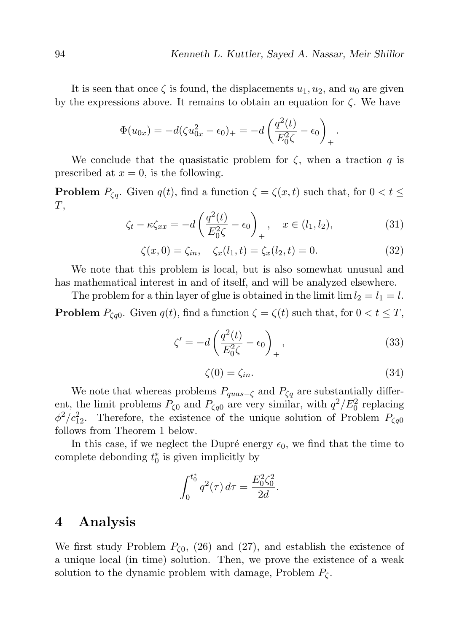It is seen that once  $\zeta$  is found, the displacements  $u_1, u_2$ , and  $u_0$  are given by the expressions above. It remains to obtain an equation for  $\zeta$ . We have

$$
\Phi(u_{0x}) = -d(\zeta u_{0x}^2 - \epsilon_0)_+ = -d\left(\frac{q^2(t)}{E_0^2\zeta} - \epsilon_0\right)_+.
$$

We conclude that the quasistatic problem for  $\zeta$ , when a traction q is prescribed at  $x = 0$ , is the following.

**Problem**  $P_{\zeta q}$ . Given  $q(t)$ , find a function  $\zeta = \zeta(x, t)$  such that, for  $0 < t \leq$  $T,$ 

$$
\zeta_t - \kappa \zeta_{xx} = -d \left( \frac{q^2(t)}{E_0^2 \zeta} - \epsilon_0 \right)_+, \quad x \in (l_1, l_2), \tag{31}
$$

$$
\zeta(x,0) = \zeta_{in}, \quad \zeta_x(l_1,t) = \zeta_x(l_2,t) = 0.
$$
 (32)

We note that this problem is local, but is also somewhat unusual and has mathematical interest in and of itself, and will be analyzed elsewhere.

The problem for a thin layer of glue is obtained in the limit lim  $l_2 = l_1 = l$ . **Problem**  $P_{\zeta q0}$ . Given  $q(t)$ , find a function  $\zeta = \zeta(t)$  such that, for  $0 < t \leq T$ ,

$$
\zeta' = -d \left( \frac{q^2(t)}{E_0^2 \zeta} - \epsilon_0 \right)_+, \tag{33}
$$

$$
\zeta(0) = \zeta_{in}.\tag{34}
$$

We note that whereas problems  $P_{quas-\zeta}$  and  $P_{\zeta q}$  are substantially different, the limit problems  $P_{\zeta 0}$  and  $P_{\zeta q0}$  are very similar, with  $q^2/E_0^2$  replacing  $\phi^2/c_{12}^2$ . Therefore, the existence of the unique solution of Problem  $P_{\zeta q0}$ follows from Theorem 1 below.

In this case, if we neglect the Dupré energy  $\epsilon_0$ , we find that the time to complete debonding  $t_0^*$  is given implicitly by

$$
\int_0^{t_0^*} q^2(\tau) d\tau = \frac{E_0^2 \zeta_0^2}{2d}.
$$

## 4 Analysis

We first study Problem  $P_{(0)}$ , (26) and (27), and establish the existence of a unique local (in time) solution. Then, we prove the existence of a weak solution to the dynamic problem with damage, Problem  $P_{\zeta}$ .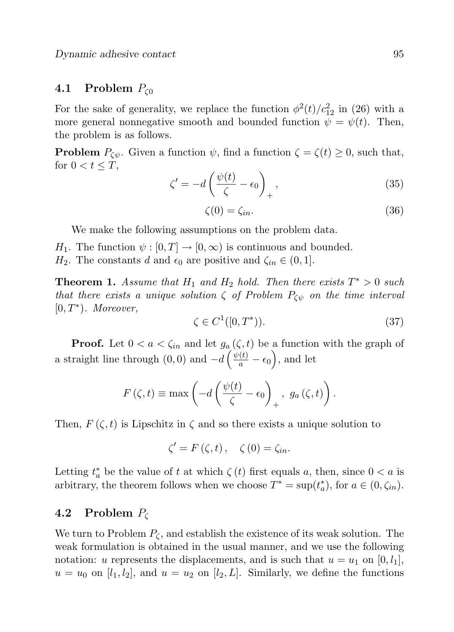#### 4.1 Problem  $P_{\zeta_0}$

For the sake of generality, we replace the function  $\phi^2(t)/c_{12}^2$  in (26) with a more general nonnegative smooth and bounded function  $\psi = \psi(t)$ . Then, the problem is as follows.

**Problem**  $P_{\zeta\psi}$ . Given a function  $\psi$ , find a function  $\zeta = \zeta(t) \geq 0$ , such that, for  $0 < t \leq T$ ,

$$
\zeta' = -d\left(\frac{\psi(t)}{\zeta} - \epsilon_0\right)_+, \tag{35}
$$

$$
\zeta(0) = \zeta_{in}.\tag{36}
$$

We make the following assumptions on the problem data.

- $H_1$ . The function  $\psi : [0, T] \to [0, \infty)$  is continuous and bounded.
- $H_2$ . The constants d and  $\epsilon_0$  are positive and  $\zeta_{in} \in (0, 1]$ .

**Theorem 1.** Assume that  $H_1$  and  $H_2$  hold. Then there exists  $T^* > 0$  such that there exists a unique solution  $\zeta$  of Problem  $P_{\zeta\psi}$  on the time interval  $[0, T^*)$ . Moreover,

$$
\zeta \in C^1([0, T^*)).\tag{37}
$$

**Proof.** Let  $0 < a < \zeta_{in}$  and let  $g_a(\zeta, t)$  be a function with the graph of a straight line through  $(0,0)$  and  $-d\left(\frac{\psi(t)}{a} - \epsilon_0\right)$ , and let

$$
F(\zeta, t) \equiv \max \left( -d \left( \frac{\psi(t)}{\zeta} - \epsilon_0 \right)_+, g_a(\zeta, t) \right).
$$

Then,  $F(\zeta, t)$  is Lipschitz in  $\zeta$  and so there exists a unique solution to

$$
\zeta' = F(\zeta, t), \quad \zeta(0) = \zeta_{in}.
$$

Letting  $t_a^*$  be the value of t at which  $\zeta(t)$  first equals a, then, since  $0 < a$  is arbitrary, the theorem follows when we choose  $T^* = \sup(t_a^*)$ , for  $a \in (0, \zeta_{in})$ .

## 4.2 Problem  $P_c$

We turn to Problem  $P_{\zeta}$ , and establish the existence of its weak solution. The weak formulation is obtained in the usual manner, and we use the following notation: u represents the displacements, and is such that  $u = u_1$  on  $[0, l_1]$ ,  $u = u_0$  on  $[l_1, l_2]$ , and  $u = u_2$  on  $[l_2, L]$ . Similarly, we define the functions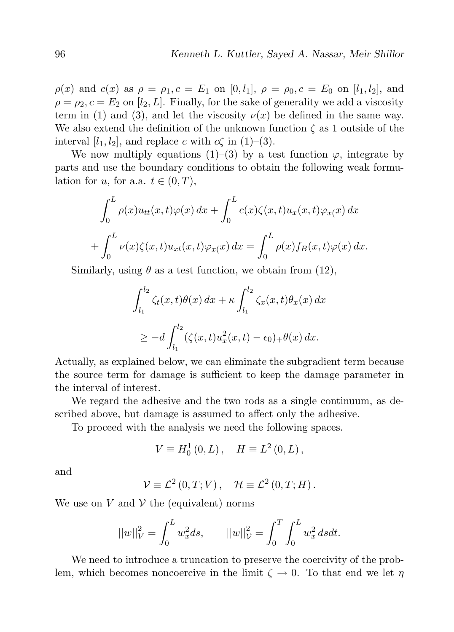$\rho(x)$  and  $c(x)$  as  $\rho = \rho_1$ ,  $c = E_1$  on [0, l<sub>1</sub>],  $\rho = \rho_0$ ,  $c = E_0$  on [l<sub>1</sub>, l<sub>2</sub>], and  $\rho = \rho_2, c = E_2$  on  $[l_2, L]$ . Finally, for the sake of generality we add a viscosity term in (1) and (3), and let the viscosity  $\nu(x)$  be defined in the same way. We also extend the definition of the unknown function  $\zeta$  as 1 outside of the interval  $[l_1, l_2]$ , and replace c with  $c\zeta$  in (1)–(3).

We now multiply equations (1)–(3) by a test function  $\varphi$ , integrate by parts and use the boundary conditions to obtain the following weak formulation for u, for a.a.  $t \in (0, T)$ ,

$$
\int_0^L \rho(x)u_{tt}(x,t)\varphi(x) dx + \int_0^L c(x)\zeta(x,t)u_x(x,t)\varphi_{x}(x) dx
$$

$$
+ \int_0^L \nu(x)\zeta(x,t)u_{xt}(x,t)\varphi_{x}(x) dx = \int_0^L \rho(x)f_B(x,t)\varphi(x) dx.
$$

Similarly, using  $\theta$  as a test function, we obtain from (12),

$$
\int_{l_1}^{l_2} \zeta_t(x,t)\theta(x) dx + \kappa \int_{l_1}^{l_2} \zeta_x(x,t)\theta_x(x) dx
$$
  
\n
$$
\geq -d \int_{l_1}^{l_2} (\zeta(x,t)u_x^2(x,t) - \epsilon_0)_+ \theta(x) dx.
$$

Actually, as explained below, we can eliminate the subgradient term because the source term for damage is sufficient to keep the damage parameter in the interval of interest.

We regard the adhesive and the two rods as a single continuum, as described above, but damage is assumed to affect only the adhesive.

To proceed with the analysis we need the following spaces.

$$
V \equiv H_0^1(0, L) \,, \quad H \equiv L^2(0, L) \,,
$$

and

$$
\mathcal{V} \equiv \mathcal{L}^2(0,T;V) \,, \quad \mathcal{H} \equiv \mathcal{L}^2(0,T;H) \,.
$$

We use on V and V the (equivalent) norms

$$
||w||_V^2 = \int_0^L w_x^2 ds, \qquad ||w||_V^2 = \int_0^T \int_0^L w_x^2 ds dt.
$$

We need to introduce a truncation to preserve the coercivity of the problem, which becomes noncoercive in the limit  $\zeta \to 0$ . To that end we let  $\eta$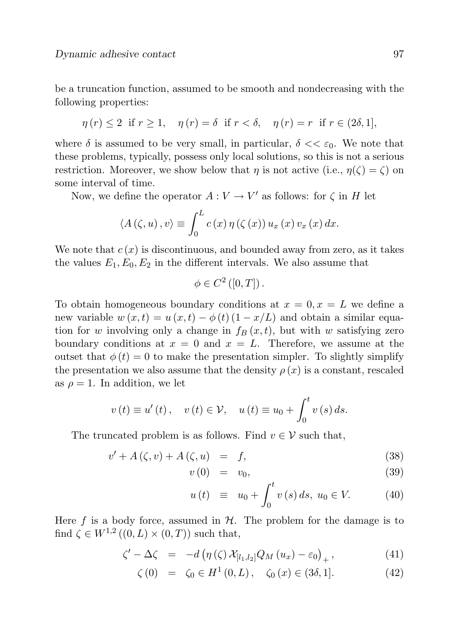be a truncation function, assumed to be smooth and nondecreasing with the following properties:

$$
\eta(r) \le 2 \text{ if } r \ge 1, \quad \eta(r) = \delta \text{ if } r < \delta, \quad \eta(r) = r \text{ if } r \in (2\delta, 1],
$$

where  $\delta$  is assumed to be very small, in particular,  $\delta \ll \epsilon_0$ . We note that these problems, typically, possess only local solutions, so this is not a serious restriction. Moreover, we show below that *n* is not active (i.e.,  $n(\zeta) = \zeta$ ) on some interval of time.

Now, we define the operator  $A: V \to V'$  as follows: for  $\zeta$  in H let

$$
\langle A(\zeta, u), v \rangle \equiv \int_0^L c(x) \, \eta(\zeta(x)) \, u_x(x) \, v_x(x) \, dx.
$$

We note that  $c(x)$  is discontinuous, and bounded away from zero, as it takes the values  $E_1, E_0, E_2$  in the different intervals. We also assume that

$$
\phi \in C^{2}([0,T])\,.
$$

To obtain homogeneous boundary conditions at  $x = 0, x = L$  we define a new variable  $w(x,t) = u(x,t) - \phi(t) (1 - x/L)$  and obtain a similar equation for w involving only a change in  $f_B(x, t)$ , but with w satisfying zero boundary conditions at  $x = 0$  and  $x = L$ . Therefore, we assume at the outset that  $\phi(t) = 0$  to make the presentation simpler. To slightly simplify the presentation we also assume that the density  $\rho(x)$  is a constant, rescaled as  $\rho = 1$ . In addition, we let

$$
v(t) \equiv u'(t)
$$
,  $v(t) \in V$ ,  $u(t) \equiv u_0 + \int_0^t v(s) ds$ .

The truncated problem is as follows. Find  $v \in V$  such that,

$$
v' + A(\zeta, v) + A(\zeta, u) = f,\tag{38}
$$

$$
v(0) = v_0, \tag{39}
$$

$$
u(t) \equiv u_0 + \int_0^t v(s) \, ds, \ u_0 \in V. \tag{40}
$$

Here f is a body force, assumed in  $H$ . The problem for the damage is to find  $\zeta \in W^{1,2}((0,L) \times (0,T))$  such that,

$$
\zeta' - \Delta \zeta = -d \left( \eta \left( \zeta \right) \mathcal{X}_{\left[ l_1, l_2 \right]} Q_M \left( u_x \right) - \varepsilon_0 \right)_+, \tag{41}
$$

$$
\zeta(0) = \zeta_0 \in H^1(0, L), \quad \zeta_0(x) \in (3\delta, 1]. \tag{42}
$$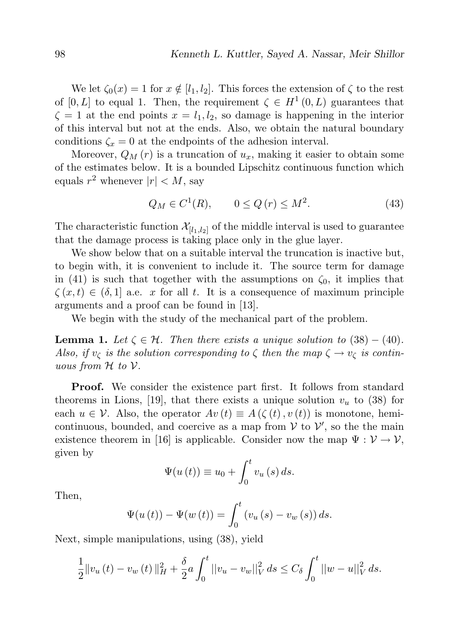We let  $\zeta_0(x) = 1$  for  $x \notin [l_1, l_2]$ . This forces the extension of  $\zeta$  to the rest of [0, L] to equal 1. Then, the requirement  $\zeta \in H^1(0,L)$  guarantees that  $\zeta = 1$  at the end points  $x = l_1, l_2$ , so damage is happening in the interior of this interval but not at the ends. Also, we obtain the natural boundary conditions  $\zeta_x = 0$  at the endpoints of the adhesion interval.

Moreover,  $Q_M(r)$  is a truncation of  $u_x$ , making it easier to obtain some of the estimates below. It is a bounded Lipschitz continuous function which equals  $r^2$  whenever  $|r| < M$ , say

$$
Q_M \in C^1(R), \qquad 0 \le Q(r) \le M^2. \tag{43}
$$

The characteristic function  $\mathcal{X}_{[l_1,l_2]}$  of the middle interval is used to guarantee that the damage process is taking place only in the glue layer.

We show below that on a suitable interval the truncation is inactive but, to begin with, it is convenient to include it. The source term for damage in (41) is such that together with the assumptions on  $\zeta_0$ , it implies that  $\zeta(x,t) \in (\delta,1]$  a.e. x for all t. It is a consequence of maximum principle arguments and a proof can be found in [13].

We begin with the study of the mechanical part of the problem.

**Lemma 1.** Let  $\zeta \in \mathcal{H}$ . Then there exists a unique solution to (38) – (40). Also, if  $v_{\zeta}$  is the solution corresponding to  $\zeta$  then the map  $\zeta \to v_{\zeta}$  is continuous from  $H$  to  $V$ .

**Proof.** We consider the existence part first. It follows from standard theorems in Lions, [19], that there exists a unique solution  $v_u$  to (38) for each  $u \in \mathcal{V}$ . Also, the operator  $Av(t) \equiv A(\zeta(t), v(t))$  is monotone, hemicontinuous, bounded, and coercive as a map from  $V$  to  $V'$ , so the the main existence theorem in [16] is applicable. Consider now the map  $\Psi : \mathcal{V} \to \mathcal{V}$ , given by

$$
\Psi(u(t)) \equiv u_0 + \int_0^t v_u(s) \, ds.
$$

Then,

$$
\Psi(u(t)) - \Psi(w(t)) = \int_0^t (v_u(s) - v_w(s)) ds.
$$

Next, simple manipulations, using (38), yield

$$
\frac{1}{2}||v_u(t) - v_w(t)||_H^2 + \frac{\delta}{2}a \int_0^t ||v_u - v_w||_V^2 ds \le C_\delta \int_0^t ||w - u||_V^2 ds.
$$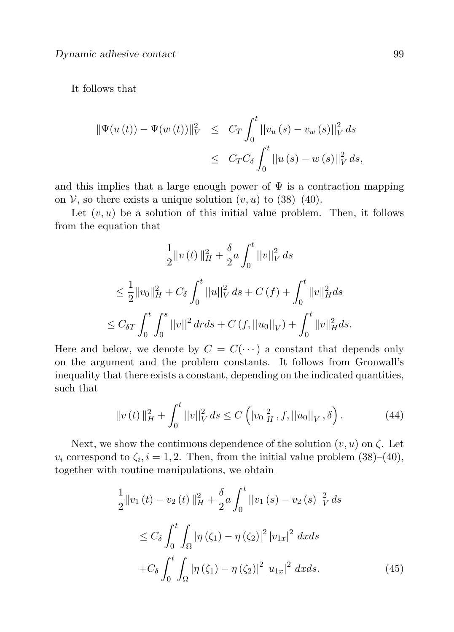#### It follows that

$$
\|\Psi(u(t)) - \Psi(w(t))\|_{V}^{2} \leq C_{T} \int_{0}^{t} ||v_{u}(s) - v_{w}(s)||_{V}^{2} ds
$$
  

$$
\leq C_{T} C_{\delta} \int_{0}^{t} ||u(s) - w(s)||_{V}^{2} ds,
$$

and this implies that a large enough power of  $\Psi$  is a contraction mapping on V, so there exists a unique solution  $(v, u)$  to  $(38)–(40)$ .

Let  $(v, u)$  be a solution of this initial value problem. Then, it follows from the equation that

$$
\frac{1}{2}||v(t)||_H^2 + \frac{\delta}{2}a \int_0^t ||v||_V^2 ds
$$
  
\n
$$
\leq \frac{1}{2}||v_0||_H^2 + C_\delta \int_0^t ||u||_V^2 ds + C(f) + \int_0^t ||v||_H^2 ds
$$
  
\n
$$
\leq C_{\delta T} \int_0^t \int_0^s ||v||^2 dr ds + C(f, ||u_0||_V) + \int_0^t ||v||_H^2 ds.
$$

Here and below, we denote by  $C = C(\cdots)$  a constant that depends only on the argument and the problem constants. It follows from Gronwall's inequality that there exists a constant, depending on the indicated quantities, such that

$$
||v(t)||_{H}^{2} + \int_{0}^{t} ||v||_{V}^{2} ds \le C \left( |v_{0}|_{H}^{2}, f, ||u_{0}||_{V}, \delta \right).
$$
 (44)

Next, we show the continuous dependence of the solution  $(v, u)$  on  $\zeta$ . Let  $v_i$  correspond to  $\zeta_i$ ,  $i = 1, 2$ . Then, from the initial value problem  $(38)$ – $(40)$ , together with routine manipulations, we obtain

$$
\frac{1}{2}||v_1(t) - v_2(t)||_H^2 + \frac{\delta}{2}a \int_0^t ||v_1(s) - v_2(s)||_V^2 ds
$$
\n
$$
\leq C_\delta \int_0^t \int_{\Omega} |\eta(\zeta_1) - \eta(\zeta_2)|^2 |v_{1x}|^2 dx ds
$$
\n
$$
+ C_\delta \int_0^t \int_{\Omega} |\eta(\zeta_1) - \eta(\zeta_2)|^2 |u_{1x}|^2 dx ds. \tag{45}
$$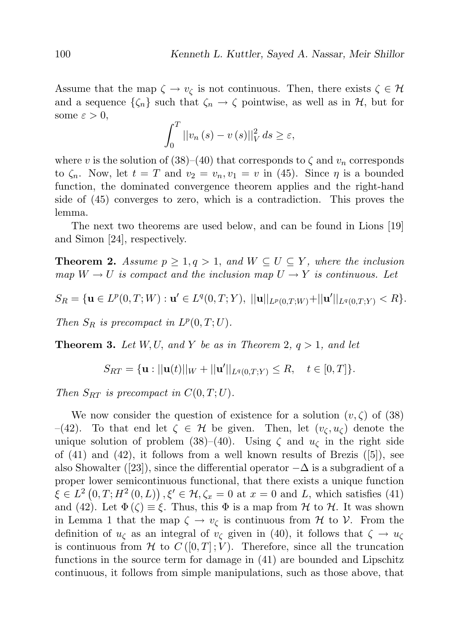Assume that the map  $\zeta \to v_{\zeta}$  is not continuous. Then, there exists  $\zeta \in \mathcal{H}$ and a sequence  $\{\zeta_n\}$  such that  $\zeta_n \to \zeta$  pointwise, as well as in  $\mathcal{H}$ , but for some  $\varepsilon > 0$ ,

$$
\int_0^T \left| \left| v_n \left( s \right) - v \left( s \right) \right| \right|_V^2 ds \ge \varepsilon,
$$

where v is the solution of (38)–(40) that corresponds to  $\zeta$  and  $v_n$  corresponds to  $\zeta_n$ . Now, let  $t = T$  and  $v_2 = v_n, v_1 = v$  in (45). Since  $\eta$  is a bounded function, the dominated convergence theorem applies and the right-hand side of (45) converges to zero, which is a contradiction. This proves the lemma.

The next two theorems are used below, and can be found in Lions [19] and Simon [24], respectively.

**Theorem 2.** Assume  $p \geq 1, q > 1$ , and  $W \subseteq U \subseteq Y$ , where the inclusion map  $W \to U$  is compact and the inclusion map  $U \to Y$  is continuous. Let

$$
S_R = \{ \mathbf{u} \in L^p(0,T;W) : \mathbf{u}' \in L^q(0,T;Y), ||\mathbf{u}||_{L^p(0,T;W)} + ||\mathbf{u}'||_{L^q(0,T;Y)} < R \}.
$$

Then  $S_R$  is precompact in  $L^p(0,T;U)$ .

**Theorem 3.** Let  $W, U$ , and Y be as in Theorem 2,  $q > 1$ , and let

$$
S_{RT} = \{ \mathbf{u} : ||\mathbf{u}(t)||_W + ||\mathbf{u}'||_{L^q(0,T;Y)} \le R, \quad t \in [0,T] \}.
$$

Then  $S_{RT}$  is precompact in  $C(0, T; U)$ .

We now consider the question of existence for a solution  $(v, \zeta)$  of (38) –(42). To that end let  $\zeta \in \mathcal{H}$  be given. Then, let  $(v_{\zeta}, u_{\zeta})$  denote the unique solution of problem (38)–(40). Using  $\zeta$  and  $u_{\zeta}$  in the right side of  $(41)$  and  $(42)$ , it follows from a well known results of Brezis  $([5])$ , see also Showalter ([23]), since the differential operator  $-\Delta$  is a subgradient of a proper lower semicontinuous functional, that there exists a unique function  $\xi \in L^2(0,T;H^2(0,L)), \xi' \in \mathcal{H}, \zeta_x = 0$  at  $x = 0$  and L, which satisfies (41) and (42). Let  $\Phi(\zeta) \equiv \xi$ . Thus, this  $\Phi$  is a map from  $\mathcal H$  to  $\mathcal H$ . It was shown in Lemma 1 that the map  $\zeta \to v_{\zeta}$  is continuous from  $\mathcal H$  to  $\mathcal V$ . From the definition of  $u_{\zeta}$  as an integral of  $v_{\zeta}$  given in (40), it follows that  $\zeta \to u_{\zeta}$ is continuous from H to  $C([0,T];V)$ . Therefore, since all the truncation functions in the source term for damage in (41) are bounded and Lipschitz continuous, it follows from simple manipulations, such as those above, that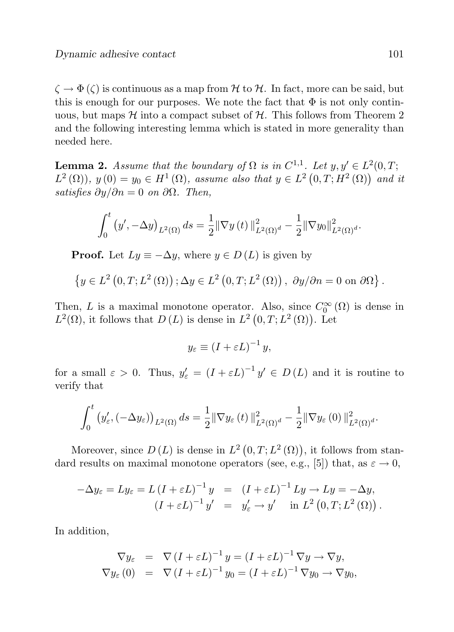$\zeta \to \Phi(\zeta)$  is continuous as a map from H to H. In fact, more can be said, but this is enough for our purposes. We note the fact that  $\Phi$  is not only continuous, but maps  $\mathcal H$  into a compact subset of  $\mathcal H$ . This follows from Theorem 2 and the following interesting lemma which is stated in more generality than needed here.

**Lemma 2.** Assume that the boundary of  $\Omega$  is in  $C^{1,1}$ . Let  $y, y' \in L^2(0,T;$  $L^{2}(\Omega)$ ,  $y(0) = y_0 \in H^{1}(\Omega)$ , assume also that  $y \in L^{2}(0,T;H^{2}(\Omega))$  and it satisfies  $\partial y/\partial n = 0$  on  $\partial \Omega$ . Then,

$$
\int_0^t (y', -\Delta y)_{L^2(\Omega)} ds = \frac{1}{2} || \nabla y(t) ||^2_{L^2(\Omega)^d} - \frac{1}{2} || \nabla y_0 ||^2_{L^2(\Omega)^d}.
$$

**Proof.** Let  $Ly \equiv -\Delta y$ , where  $y \in D(L)$  is given by

$$
\left\{y \in L^{2}\left(0, T ; L^{2}\left(\Omega\right)\right) ; \Delta y \in L^{2}\left(0, T ; L^{2}\left(\Omega\right)\right), \ \partial y / \partial n = 0 \text{ on } \partial\Omega\right\}.
$$

Then, L is a maximal monotone operator. Also, since  $C_0^{\infty}(\Omega)$  is dense in  $L^2(\Omega)$ , it follows that  $D(L)$  is dense in  $L^2(0,T;L^2(\Omega))$ . Let

$$
y_{\varepsilon} \equiv (I + \varepsilon L)^{-1} y,
$$

for a small  $\varepsilon > 0$ . Thus,  $y'_{\varepsilon} = (I + \varepsilon L)^{-1} y' \in D(L)$  and it is routine to verify that

$$
\int_0^t \left(y'_{\varepsilon}, \left(-\Delta y_{\varepsilon}\right)\right)_{L^2(\Omega)} ds = \frac{1}{2} \|\nabla y_{\varepsilon}\left(t\right)\|_{L^2(\Omega)^d}^2 - \frac{1}{2} \|\nabla y_{\varepsilon}\left(0\right)\|_{L^2(\Omega)^d}^2.
$$

Moreover, since  $D(L)$  is dense in  $L^2(0,T;L^2(\Omega))$ , it follows from standard results on maximal monotone operators (see, e.g., [5]) that, as  $\varepsilon \to 0$ ,

$$
-\Delta y_{\varepsilon} = Ly_{\varepsilon} = L(I + \varepsilon L)^{-1} y = (I + \varepsilon L)^{-1} Ly \to Ly = -\Delta y,
$$
  

$$
(I + \varepsilon L)^{-1} y' = y'_{\varepsilon} \to y' \text{ in } L^{2}(0, T; L^{2}(\Omega)).
$$

In addition,

$$
\nabla y_{\varepsilon} = \nabla (I + \varepsilon L)^{-1} y = (I + \varepsilon L)^{-1} \nabla y \to \nabla y,
$$
  
\n
$$
\nabla y_{\varepsilon}(0) = \nabla (I + \varepsilon L)^{-1} y_0 = (I + \varepsilon L)^{-1} \nabla y_0 \to \nabla y_0,
$$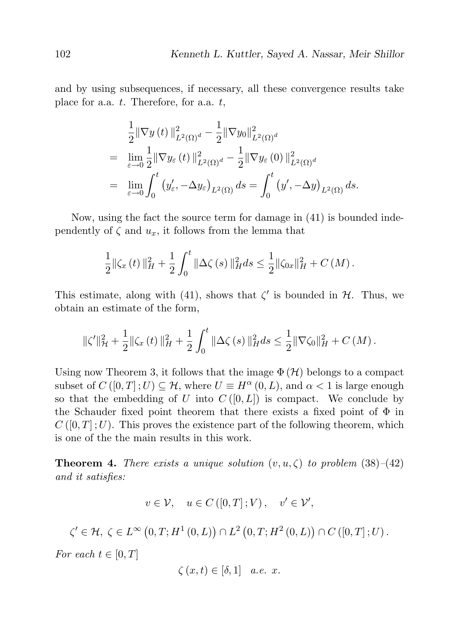and by using subsequences, if necessary, all these convergence results take place for a.a.  $t$ . Therefore, for a.a.  $t$ ,

$$
\frac{1}{2} \|\nabla y(t)\|_{L^2(\Omega)^d}^2 - \frac{1}{2} \|\nabla y_0\|_{L^2(\Omega)^d}^2
$$
\n
$$
= \lim_{\varepsilon \to 0} \frac{1}{2} \|\nabla y_\varepsilon(t)\|_{L^2(\Omega)^d}^2 - \frac{1}{2} \|\nabla y_\varepsilon(0)\|_{L^2(\Omega)^d}^2
$$
\n
$$
= \lim_{\varepsilon \to 0} \int_0^t \left(y'_\varepsilon, -\Delta y_\varepsilon\right)_{L^2(\Omega)} ds = \int_0^t \left(y', -\Delta y\right)_{L^2(\Omega)} ds.
$$

Now, using the fact the source term for damage in (41) is bounded independently of  $\zeta$  and  $u_x$ , it follows from the lemma that

$$
\frac{1}{2} \|\zeta_x(t)\|_H^2 + \frac{1}{2} \int_0^t \|\Delta \zeta(s)\|_H^2 ds \leq \frac{1}{2} \|\zeta_{0x}\|_H^2 + C(M).
$$

This estimate, along with (41), shows that  $\zeta'$  is bounded in  $\mathcal{H}$ . Thus, we obtain an estimate of the form,

$$
\|\zeta'\|_{\mathcal{H}}^2 + \frac{1}{2}\|\zeta_x\left(t\right)\|_{H}^2 + \frac{1}{2}\int_0^t \|\Delta\zeta\left(s\right)\|_{H}^2 ds \leq \frac{1}{2}\|\nabla\zeta_0\|_{H}^2 + C\left(M\right).
$$

Using now Theorem 3, it follows that the image  $\Phi(\mathcal{H})$  belongs to a compact subset of  $C([0, T]; U) \subseteq \mathcal{H}$ , where  $U \equiv H^{\alpha}(0, L)$ , and  $\alpha < 1$  is large enough so that the embedding of U into  $C([0, L])$  is compact. We conclude by the Schauder fixed point theorem that there exists a fixed point of  $\Phi$  in  $C([0,T];U)$ . This proves the existence part of the following theorem, which is one of the the main results in this work.

**Theorem 4.** There exists a unique solution  $(v, u, \zeta)$  to problem (38)–(42) and it satisfies:

$$
v \in \mathcal{V}, \quad u \in C([0, T]; V), \quad v' \in \mathcal{V}',
$$

$$
\zeta' \in \mathcal{H}, \ \zeta \in L^{\infty}\left(0, T; H^{1}\left(0, L\right)\right) \cap L^{2}\left(0, T; H^{2}\left(0, L\right)\right) \cap C\left(\left[0, T\right]; U\right).
$$

For each  $t \in [0, T]$ 

$$
\zeta(x,t) \in [\delta,1] \quad a.e. \ x.
$$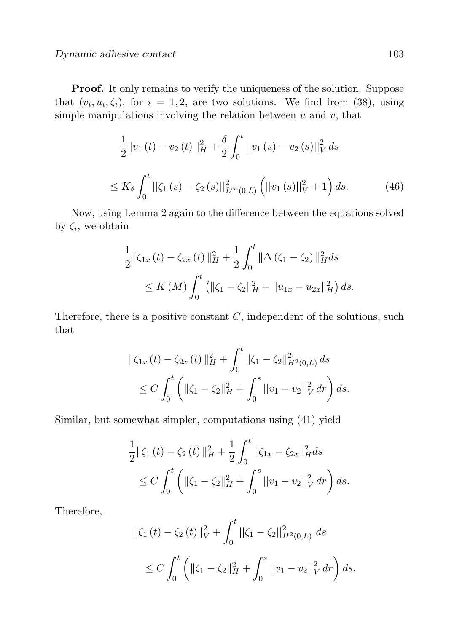Proof. It only remains to verify the uniqueness of the solution. Suppose that  $(v_i, u_i, \zeta_i)$ , for  $i = 1, 2$ , are two solutions. We find from (38), using simple manipulations involving the relation between  $u$  and  $v$ , that

$$
\frac{1}{2}||v_1(t) - v_2(t)||_H^2 + \frac{\delta}{2} \int_0^t ||v_1(s) - v_2(s)||_V^2 ds
$$
  

$$
\leq K_\delta \int_0^t ||\zeta_1(s) - \zeta_2(s)||_{L^\infty(0,L)}^2 \left(||v_1(s)||_V^2 + 1\right) ds.
$$
 (46)

Now, using Lemma 2 again to the difference between the equations solved by  $\zeta_i$ , we obtain

$$
\frac{1}{2} \|\zeta_{1x}(t) - \zeta_{2x}(t)\|_{H}^{2} + \frac{1}{2} \int_{0}^{t} \|\Delta(\zeta_{1} - \zeta_{2})\|_{H}^{2} ds
$$
  
\n
$$
\leq K(M) \int_{0}^{t} \left( \|\zeta_{1} - \zeta_{2}\|_{H}^{2} + \|u_{1x} - u_{2x}\|_{H}^{2} \right) ds.
$$

Therefore, there is a positive constant  $C$ , independent of the solutions, such that

$$
\|\zeta_{1x}(t) - \zeta_{2x}(t)\|_{H}^{2} + \int_{0}^{t} \|\zeta_{1} - \zeta_{2}\|_{H^{2}(0,L)}^{2} ds
$$
  
\n
$$
\leq C \int_{0}^{t} \left( \|\zeta_{1} - \zeta_{2}\|_{H}^{2} + \int_{0}^{s} ||v_{1} - v_{2}||_{V}^{2} dr \right) ds.
$$

Similar, but somewhat simpler, computations using (41) yield

$$
\frac{1}{2} \|\zeta_1(t) - \zeta_2(t)\|_H^2 + \frac{1}{2} \int_0^t \|\zeta_{1x} - \zeta_{2x}\|_H^2 ds
$$
  
\n
$$
\leq C \int_0^t \left( \|\zeta_1 - \zeta_2\|_H^2 + \int_0^s \|v_1 - v_2\|_V^2 dr \right) ds.
$$

Therefore,

$$
\begin{aligned} \|\zeta_1\left(t\right) - \zeta_2\left(t\right) \|^2_V + \int_0^t \|\zeta_1 - \zeta_2\|^2_{H^2(0,L)} \, ds \\ &\leq C \int_0^t \left( \|\zeta_1 - \zeta_2\|^2_H + \int_0^s \left| |v_1 - v_2| \right|^2_V dr \right) ds. \end{aligned}
$$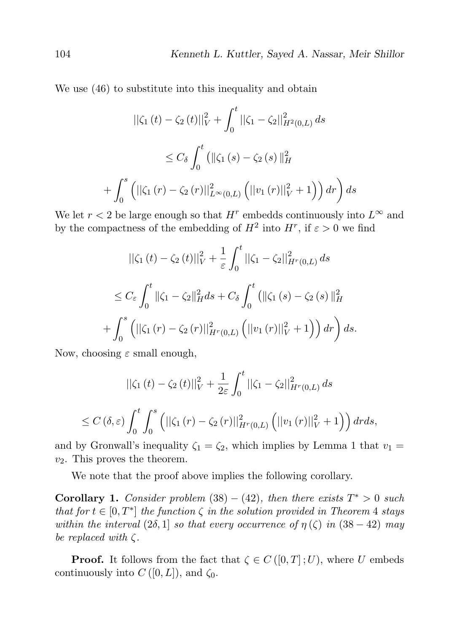We use (46) to substitute into this inequality and obtain

$$
\begin{aligned} \|\zeta_1\left(t\right) - \zeta_2\left(t\right) \|_{V}^2 + \int_0^t \|\zeta_1 - \zeta_2\|_{H^2(0,L)}^2 \, ds \\ &\leq C_\delta \int_0^t \left( \|\zeta_1\left(s\right) - \zeta_2\left(s\right) \|_{H}^2 \right) \\ &+ \int_0^s \left( \|\zeta_1\left(r\right) - \zeta_2\left(r\right) \|_{L^\infty(0,L)}^2 \left( \|v_1\left(r\right) \|_{V}^2 + 1 \right) \right) dr \right) ds \end{aligned}
$$

We let  $r < 2$  be large enough so that  $H^r$  embedds continuously into  $L^\infty$  and by the compactness of the embedding of  $H^2$  into  $H^r$ , if  $\varepsilon > 0$  we find

$$
\begin{aligned} ||\zeta_1(t) - \zeta_2(t)||_V^2 + \frac{1}{\varepsilon} \int_0^t ||\zeta_1 - \zeta_2||_{H^r(0,L)}^2 ds \\ &\le C_{\varepsilon} \int_0^t ||\zeta_1 - \zeta_2||_H^2 ds + C_{\delta} \int_0^t \left( ||\zeta_1(s) - \zeta_2(s)||_H^2 + \int_0^s \left( ||\zeta_1(r) - \zeta_2(r)||_{H^r(0,L)}^2 \left( ||v_1(r)||_V^2 + 1 \right) \right) dr \right) ds. \end{aligned}
$$

Now, choosing  $\varepsilon$  small enough,

$$
\begin{aligned} ||\zeta_1(t) - \zeta_2(t)||_V^2 + \frac{1}{2\varepsilon} \int_0^t ||\zeta_1 - \zeta_2||_{H^r(0,L)}^2 \, ds \\ &\le C \left(\delta, \varepsilon\right) \int_0^t \int_0^s \left( ||\zeta_1(r) - \zeta_2(r)||_{H^r(0,L)}^2 \left( ||v_1(r)||_V^2 + 1 \right) \right) dr ds, \end{aligned}
$$

and by Gronwall's inequality  $\zeta_1 = \zeta_2$ , which implies by Lemma 1 that  $v_1 =$  $v_2$ . This proves the theorem.

We note that the proof above implies the following corollary.

**Corollary 1.** Consider problem  $(38) - (42)$ , then there exists  $T^* > 0$  such that for  $t \in [0, T^*]$  the function  $\zeta$  in the solution provided in Theorem 4 stays within the interval  $(2\delta, 1]$  so that every occurrence of  $\eta(\zeta)$  in  $(38 - 42)$  may be replaced with  $\zeta$ .

**Proof.** It follows from the fact that  $\zeta \in C([0,T];U)$ , where U embeds continuously into  $C([0,L])$ , and  $\zeta_0$ .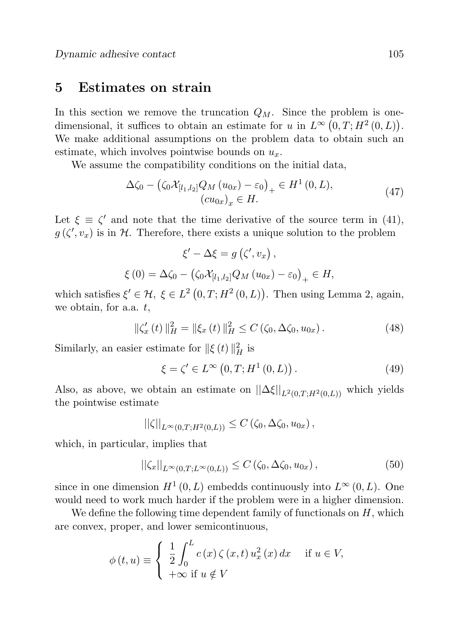## 5 Estimates on strain

In this section we remove the truncation  $Q_M$ . Since the problem is onedimensional, it suffices to obtain an estimate for u in  $L^{\infty}(0,T;H^2(0,L))$ . We make additional assumptions on the problem data to obtain such an estimate, which involves pointwise bounds on  $u_x$ .

We assume the compatibility conditions on the initial data,

$$
\Delta \zeta_0 - \left( \zeta_0 \mathcal{X}_{[l_1, l_2]} Q_M (u_{0x}) - \varepsilon_0 \right)_+ \in H^1(0, L),
$$
  

$$
(cu_{0x})_x \in H.
$$
 (47)

Let  $\xi \equiv \zeta'$  and note that the time derivative of the source term in (41),  $g(\zeta', v_x)$  is in H. Therefore, there exists a unique solution to the problem

$$
\xi' - \Delta \xi = g\left(\zeta', v_x\right),
$$
  

$$
\xi(0) = \Delta \zeta_0 - \left(\zeta_0 \mathcal{X}_{[l_1, l_2]} Q_M \left(u_{0x}\right) - \varepsilon_0\right)_+ \in H,
$$

which satisfies  $\xi' \in \mathcal{H}, \xi \in L^2(0,T;H^2(0,L))$ . Then using Lemma 2, again, we obtain, for a.a. t,

$$
\|\zeta'_x(t)\|_H^2 = \|\xi_x(t)\|_H^2 \le C(\zeta_0, \Delta\zeta_0, u_{0x}).
$$
\n(48)

Similarly, an easier estimate for  $\|\xi(t)\|_H^2$  is

$$
\xi = \zeta' \in L^{\infty}\left(0, T; H^{1}\left(0, L\right)\right). \tag{49}
$$

Also, as above, we obtain an estimate on  $||\Delta \xi||_{L^2(0,T;H^2(0,L))}$  which yields the pointwise estimate

$$
||\zeta||_{L^{\infty}(0,T;H^2(0,L))} \leq C\left(\zeta_0,\Delta\zeta_0,u_{0x}\right),
$$

which, in particular, implies that

$$
||\zeta_x||_{L^{\infty}(0,T;L^{\infty}(0,L))} \leq C\left(\zeta_0,\Delta\zeta_0,u_{0x}\right),\tag{50}
$$

since in one dimension  $H^1(0,L)$  embedds continuously into  $L^{\infty}(0,L)$ . One would need to work much harder if the problem were in a higher dimension.

We define the following time dependent family of functionals on  $H$ , which are convex, proper, and lower semicontinuous,

$$
\phi(t, u) \equiv \begin{cases} \frac{1}{2} \int_0^L c(x) \zeta(x, t) u_x^2(x) dx & \text{if } u \in V, \\ +\infty \text{ if } u \notin V \end{cases}
$$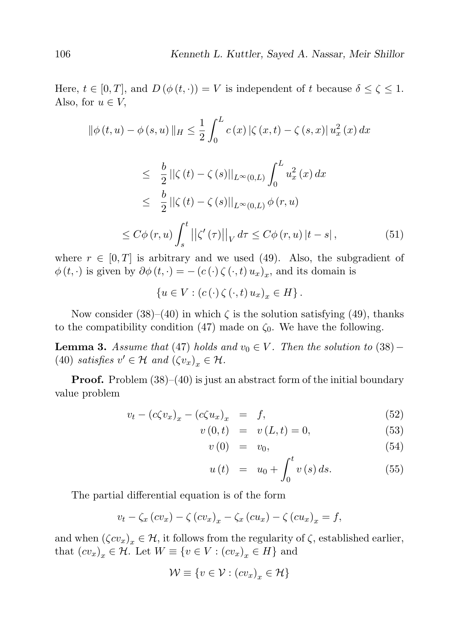Here,  $t \in [0, T]$ , and  $D(\phi(t, \cdot)) = V$  is independent of t because  $\delta \leq \zeta \leq 1$ . Also, for  $u \in V$ ,

$$
\|\phi(t, u) - \phi(s, u)\|_{H} \leq \frac{1}{2} \int_{0}^{L} c(x) |\zeta(x, t) - \zeta(s, x)| u_{x}^{2}(x) dx
$$
  

$$
\leq \frac{b}{2} ||\zeta(t) - \zeta(s)||_{L^{\infty}(0, L)} \int_{0}^{L} u_{x}^{2}(x) dx
$$
  

$$
\leq \frac{b}{2} ||\zeta(t) - \zeta(s)||_{L^{\infty}(0, L)} \phi(r, u)
$$
  

$$
\leq C\phi(r, u) \int_{s}^{t} ||\zeta'(\tau)||_{V} d\tau \leq C\phi(r, u) |t - s|,
$$
 (51)

where  $r \in [0, T]$  is arbitrary and we used (49). Also, the subgradient of  $\phi(t, \cdot)$  is given by  $\partial \phi(t, \cdot) = -(c(\cdot) \zeta(\cdot, t) u_x)_x$ , and its domain is

$$
\{u \in V : (c(\cdot) \zeta(\cdot,t) u_x)_x \in H\}.
$$

Now consider (38)–(40) in which  $\zeta$  is the solution satisfying (49), thanks to the compatibility condition (47) made on  $\zeta_0$ . We have the following.

**Lemma 3.** Assume that (47) holds and  $v_0 \in V$ . Then the solution to (38) – (40) satisfies  $v' \in \mathcal{H}$  and  $(\zeta v_x)_x \in \mathcal{H}$ .

**Proof.** Problem  $(38)–(40)$  is just an abstract form of the initial boundary value problem

$$
v_t - (c\zeta v_x)_x - (c\zeta u_x)_x = f,\t\t(52)
$$

$$
v(0,t) = v(L,t) = 0,
$$
\n(53)

$$
v(0) = v_0, \tag{54}
$$

$$
u(t) = u_0 + \int_0^t v(s) \, ds. \tag{55}
$$

The partial differential equation is of the form

$$
v_t - \zeta_x (cv_x) - \zeta (cv_x)_x - \zeta_x (cu_x) - \zeta (cu_x)_x = f,
$$

and when  $(\zeta c v_x)_x \in \mathcal{H}$ , it follows from the regularity of  $\zeta$ , established earlier, that  $(cv_x)_x \in \mathcal{H}$ . Let  $W \equiv \{v \in V : (cv_x)_x \in H\}$  and

$$
\mathcal{W} \equiv \{ v \in \mathcal{V} : (cv_x)_x \in \mathcal{H} \}
$$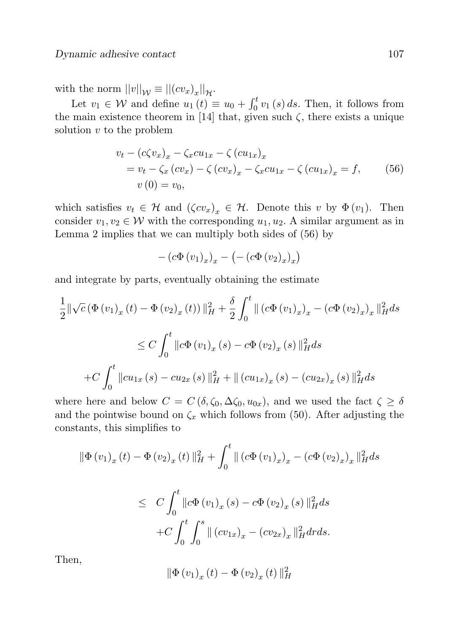with the norm  $||v||_{\mathcal{W}} \equiv ||(cv_x)_x||_{\mathcal{H}}$ .

Let  $v_1 \in \mathcal{W}$  and define  $u_1(t) \equiv u_0 + \int_0^t v_1(s) ds$ . Then, it follows from the main existence theorem in [14] that, given such  $\zeta$ , there exists a unique solution  $v$  to the problem

$$
v_t - (c\zeta v_x)_x - \zeta_x c u_{1x} - \zeta (c u_{1x})_x
$$
  
=  $v_t - \zeta_x (c v_x) - \zeta (c v_x)_x - \zeta_x c u_{1x} - \zeta (c u_{1x})_x = f,$  (56)  
 $v(0) = v_0,$ 

which satisfies  $v_t \in \mathcal{H}$  and  $(\zeta c v_x)_x \in \mathcal{H}$ . Denote this v by  $\Phi(v_1)$ . Then consider  $v_1, v_2 \in \mathcal{W}$  with the corresponding  $u_1, u_2$ . A similar argument as in Lemma 2 implies that we can multiply both sides of (56) by

$$
-\left(c\Phi(v_1)_x\right)_x - \left(-\left(c\Phi(v_2)_x\right)_x\right)
$$

and integrate by parts, eventually obtaining the estimate

$$
\frac{1}{2} \|\sqrt{c} \left(\Phi(v_1)_x(t) - \Phi(v_2)_x(t)\right) \|_{H}^2 + \frac{\delta}{2} \int_0^t \| (c\Phi(v_1)_x)_x - (c\Phi(v_2)_x)_x \|_{H}^2 ds
$$
\n
$$
\leq C \int_0^t \|c\Phi(v_1)_x(s) - c\Phi(v_2)_x(s)\|_{H}^2 ds
$$
\n
$$
+ C \int_0^t \|c u_{1x}(s) - c u_{2x}(s)\|_{H}^2 + \| (c u_{1x})_x(s) - (c u_{2x})_x(s)\|_{H}^2 ds
$$

where here and below  $C = C(\delta, \zeta_0, \Delta\zeta_0, u_{0x})$ , and we used the fact  $\zeta \geq \delta$ and the pointwise bound on  $\zeta_x$  which follows from (50). After adjusting the constants, this simplifies to

$$
\|\Phi(v_1)_x(t) - \Phi(v_2)_x(t)\|_H^2 + \int_0^t \|(c\Phi(v_1)_x)_x - (c\Phi(v_2)_x)_x\|_H^2 ds
$$
  

$$
\leq C \int_0^t \|c\Phi(v_1)_x(s) - c\Phi(v_2)_x(s)\|_H^2 ds
$$
  

$$
+ C \int_0^t \int_0^s \|(cv_{1x})_x - (cv_{2x})_x\|_H^2 dr ds.
$$

Then,

$$
\|\Phi(v_1)_x(t) - \Phi(v_2)_x(t)\|_H^2
$$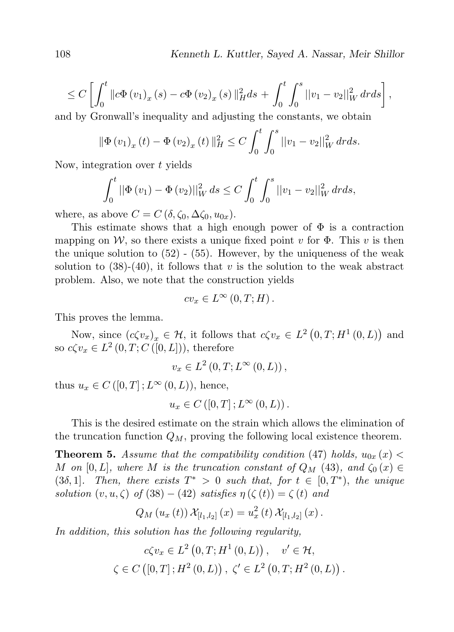$$
\leq C\left[\int_0^t \|c\Phi(v_1)_x(s) - c\Phi(v_2)_x(s)\|_H^2 ds + \int_0^t \int_0^s \|v_1 - v_2\|_W^2 dr ds\right],
$$

and by Gronwall's inequality and adjusting the constants, we obtain

$$
\|\Phi(v_1)_x(t) - \Phi(v_2)_x(t)\|_H^2 \le C \int_0^t \int_0^s ||v_1 - v_2||_W^2 dr ds.
$$

Now, integration over  $t$  yields

$$
\int_0^t ||\Phi(v_1) - \Phi(v_2)||_W^2 ds \le C \int_0^t \int_0^s ||v_1 - v_2||_W^2 dr ds,
$$

where, as above  $C = C(\delta, \zeta_0, \Delta\zeta_0, u_{0x}).$ 

This estimate shows that a high enough power of  $\Phi$  is a contraction mapping on W, so there exists a unique fixed point v for  $\Phi$ . This v is then the unique solution to  $(52)$  -  $(55)$ . However, by the uniqueness of the weak solution to  $(38)-(40)$ , it follows that v is the solution to the weak abstract problem. Also, we note that the construction yields

$$
cv_x \in L^{\infty}(0,T;H).
$$

This proves the lemma.

Now, since  $(c\zeta v_x)_x \in \mathcal{H}$ , it follows that  $c\zeta v_x \in L^2(0,T;H^1(0,L))$  and so  $c\zeta v_x \in L^2(0,T;C(\tilde[0,L])),$  therefore

$$
v_x \in L^2(0,T;L^{\infty}(0,L)),
$$

thus  $u_x \in C([0,T]; L^{\infty}(0,L))$ , hence,

$$
u_x \in C([0,T];L^{\infty}(0,L)).
$$

This is the desired estimate on the strain which allows the elimination of the truncation function  $Q_M$ , proving the following local existence theorem.

**Theorem 5.** Assume that the compatibility condition (47) holds,  $u_{0x}(x)$ M on [0, L], where M is the truncation constant of  $Q_M$  (43), and  $\zeta_0(x) \in$ (3δ, 1]. Then, there exists  $T^* > 0$  such that, for  $t \in [0, T^*)$ , the unique solution  $(v, u, \zeta)$  of  $(38) - (42)$  satisfies  $\eta(\zeta(t)) = \zeta(t)$  and

$$
Q_M(u_x(t)) \mathcal{X}_{[l_1,l_2]}(x) = u_x^2(t) \mathcal{X}_{[l_1,l_2]}(x).
$$

In addition, this solution has the following regularity,

$$
c\zeta v_x \in L^2(0, T; H^1(0, L)), \quad v' \in \mathcal{H},
$$
  

$$
\zeta \in C([0, T]; H^2(0, L)), \zeta' \in L^2(0, T; H^2(0, L)).
$$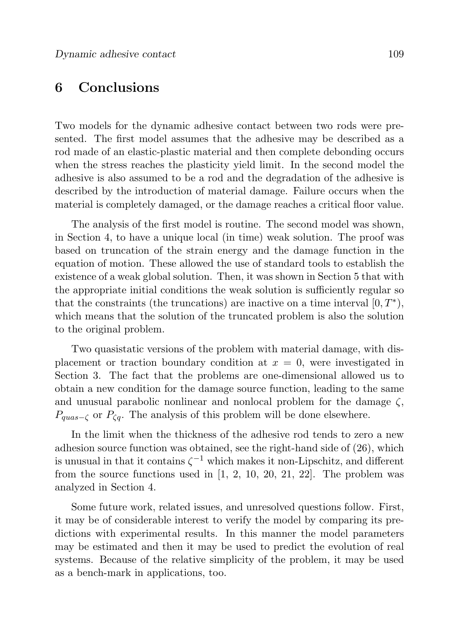## 6 Conclusions

Two models for the dynamic adhesive contact between two rods were presented. The first model assumes that the adhesive may be described as a rod made of an elastic-plastic material and then complete debonding occurs when the stress reaches the plasticity yield limit. In the second model the adhesive is also assumed to be a rod and the degradation of the adhesive is described by the introduction of material damage. Failure occurs when the material is completely damaged, or the damage reaches a critical floor value.

The analysis of the first model is routine. The second model was shown, in Section 4, to have a unique local (in time) weak solution. The proof was based on truncation of the strain energy and the damage function in the equation of motion. These allowed the use of standard tools to establish the existence of a weak global solution. Then, it was shown in Section 5 that with the appropriate initial conditions the weak solution is sufficiently regular so that the constraints (the truncations) are inactive on a time interval  $[0, T^*),$ which means that the solution of the truncated problem is also the solution to the original problem.

Two quasistatic versions of the problem with material damage, with displacement or traction boundary condition at  $x = 0$ , were investigated in Section 3. The fact that the problems are one-dimensional allowed us to obtain a new condition for the damage source function, leading to the same and unusual parabolic nonlinear and nonlocal problem for the damage  $\zeta$ ,  $P_{quas-{\zeta}}$  or  $P_{\zeta q}$ . The analysis of this problem will be done elsewhere.

In the limit when the thickness of the adhesive rod tends to zero a new adhesion source function was obtained, see the right-hand side of (26), which is unusual in that it contains  $\zeta^{-1}$  which makes it non-Lipschitz, and different from the source functions used in  $[1, 2, 10, 20, 21, 22]$ . The problem was analyzed in Section 4.

Some future work, related issues, and unresolved questions follow. First, it may be of considerable interest to verify the model by comparing its predictions with experimental results. In this manner the model parameters may be estimated and then it may be used to predict the evolution of real systems. Because of the relative simplicity of the problem, it may be used as a bench-mark in applications, too.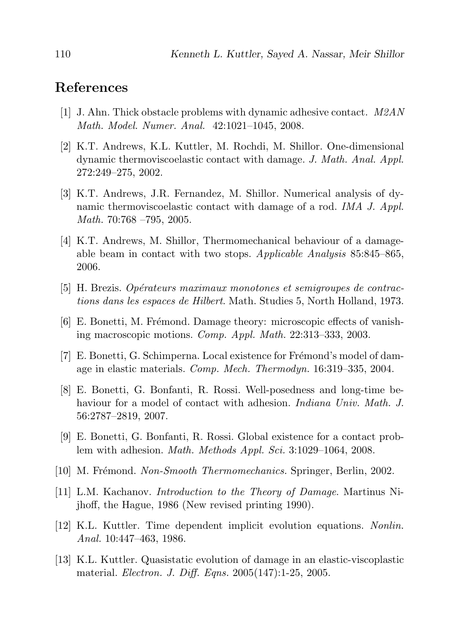# References

- [1] J. Ahn. Thick obstacle problems with dynamic adhesive contact.  $M2AN$ Math. Model. Numer. Anal. 42:1021–1045, 2008.
- [2] K.T. Andrews, K.L. Kuttler, M. Rochdi, M. Shillor. One-dimensional dynamic thermoviscoelastic contact with damage. J. Math. Anal. Appl. 272:249–275, 2002.
- [3] K.T. Andrews, J.R. Fernandez, M. Shillor. Numerical analysis of dynamic thermoviscoelastic contact with damage of a rod. *IMA J. Appl.* Math. 70:768 –795, 2005.
- [4] K.T. Andrews, M. Shillor, Thermomechanical behaviour of a damageable beam in contact with two stops. Applicable Analysis  $85:845-865$ , 2006.
- $[5]$  H. Brezis. Opérateurs maximaux monotones et semigroupes de contractions dans les espaces de Hilbert. Math. Studies 5, North Holland, 1973.
- $[6]$  E. Bonetti, M. Frémond. Damage theory: microscopic effects of vanishing macroscopic motions. Comp. Appl. Math. 22:313–333, 2003.
- [7] E. Bonetti, G. Schimperna. Local existence for Frémond's model of damage in elastic materials. Comp. Mech. Thermodyn. 16:319–335, 2004.
- [8] E. Bonetti, G. Bonfanti, R. Rossi. Well-posedness and long-time behaviour for a model of contact with adhesion. *Indiana Univ. Math. J.* 56:2787–2819, 2007.
- [9] E. Bonetti, G. Bonfanti, R. Rossi. Global existence for a contact problem with adhesion. Math. Methods Appl. Sci. 3:1029–1064, 2008.
- [10] M. Frémond. Non-Smooth Thermomechanics. Springer, Berlin, 2002.
- [11] L.M. Kachanov. Introduction to the Theory of Damage. Martinus Nijhoff, the Hague, 1986 (New revised printing 1990).
- [12] K.L. Kuttler. Time dependent implicit evolution equations. Nonlin. Anal. 10:447–463, 1986.
- [13] K.L. Kuttler. Quasistatic evolution of damage in an elastic-viscoplastic material. Electron. J. Diff. Eqns. 2005(147):1-25, 2005.